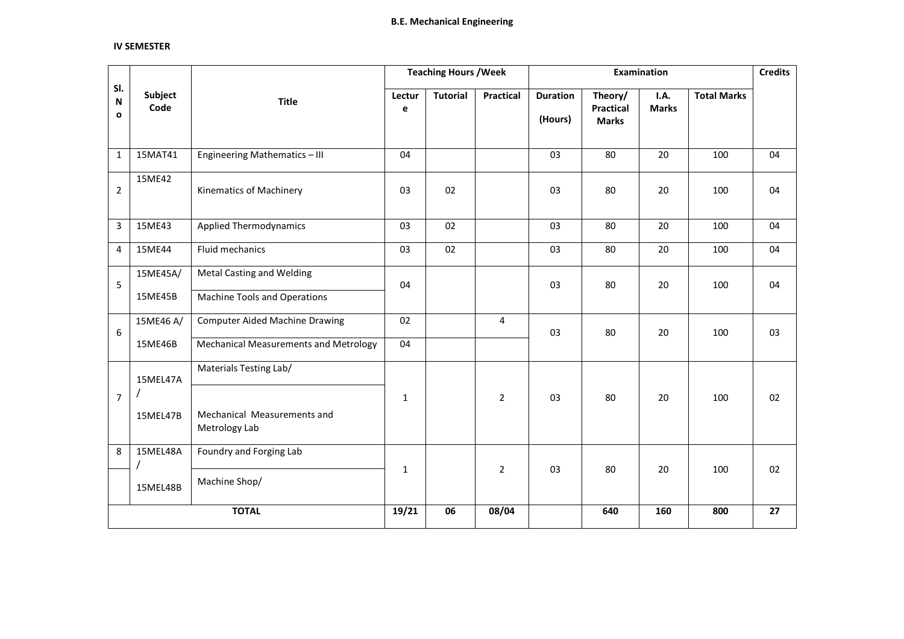#### **IV SEMESTER**

|                          |                                        |                                                                         |                       | <b>Teaching Hours / Week</b> |                  |                            |                                             | Examination                 |                    | <b>Credits</b> |
|--------------------------|----------------------------------------|-------------------------------------------------------------------------|-----------------------|------------------------------|------------------|----------------------------|---------------------------------------------|-----------------------------|--------------------|----------------|
| SI.<br>N<br>$\mathbf{o}$ | Subject<br>Code                        | <b>Title</b>                                                            | Lectur<br>$\mathbf e$ | <b>Tutorial</b>              | <b>Practical</b> | <b>Duration</b><br>(Hours) | Theory/<br><b>Practical</b><br><b>Marks</b> | <b>I.A.</b><br><b>Marks</b> | <b>Total Marks</b> |                |
| $\mathbf{1}$             | 15MAT41                                | Engineering Mathematics - III                                           | 04                    |                              |                  | 03                         | 80                                          | 20                          | 100                | 04             |
| $\overline{2}$           | 15ME42                                 | Kinematics of Machinery                                                 | 03                    | 02                           |                  | 03                         | 80                                          | 20                          | 100                | 04             |
| $\overline{3}$           | 15ME43                                 | <b>Applied Thermodynamics</b>                                           | 03                    | 02                           |                  | 03                         | 80                                          | 20                          | 100                | 04             |
| 4                        | 15ME44                                 | Fluid mechanics                                                         | 03                    | 02                           |                  | 03                         | 80                                          | 20                          | 100                | 04             |
| 5                        | 15ME45A/<br>15ME45B                    | <b>Metal Casting and Welding</b><br><b>Machine Tools and Operations</b> | 04                    |                              |                  | 03                         | 80                                          | 20                          | 100                | 04             |
| 6                        | 15ME46 A/                              | <b>Computer Aided Machine Drawing</b>                                   | 02                    |                              | 4                | 03                         | 80                                          | 20                          | 100                | 03             |
|                          | 15ME46B                                | <b>Mechanical Measurements and Metrology</b>                            | 04                    |                              |                  |                            |                                             |                             |                    |                |
| $\overline{7}$           | 15MEL47A<br>$\overline{1}$<br>15MEL47B | Materials Testing Lab/<br>Mechanical Measurements and<br>Metrology Lab  | $\mathbf{1}$          |                              | $\overline{2}$   | 03                         | 80                                          | 20                          | 100                | 02             |
| 8                        | 15MEL48A                               | Foundry and Forging Lab                                                 | $\mathbf{1}$          |                              | $\overline{2}$   | 03                         | 80                                          | 20                          | 100                | 02             |
|                          | 15MEL48B                               | Machine Shop/                                                           |                       |                              |                  |                            |                                             |                             |                    |                |
|                          |                                        | <b>TOTAL</b>                                                            | 19/21                 | 06                           | 08/04            |                            | 640                                         | 160                         | 800                | 27             |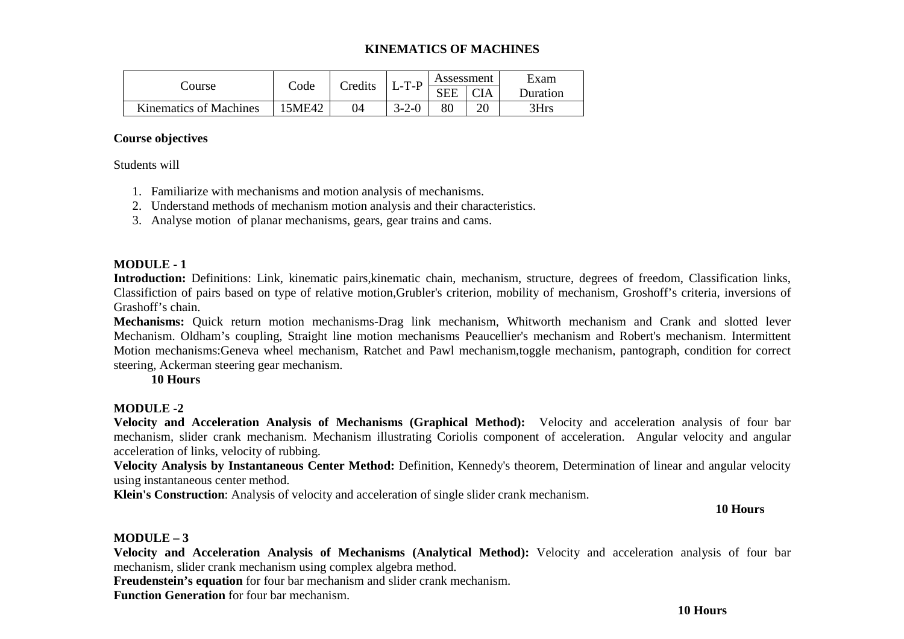## **KINEMATICS OF MACHINES**

|                               | $\mathrm{Code}$ | Credits |             | Assessment |            | Exam     |
|-------------------------------|-----------------|---------|-------------|------------|------------|----------|
| Course                        |                 |         | $L$ -T-P    | <b>SEE</b> | <b>CIA</b> | Duration |
| <b>Kinematics of Machines</b> | 15ME42          | 04      | $3 - 2 - 0$ | 80         |            | 3Hrs     |

## **Course objectives**

Students will

- 1. Familiarize with mechanisms and motion analysis of mechanisms.
- 2. Understand methods of mechanism motion analysis and their characteristics.
- 3. Analyse motion of planar mechanisms, gears, gear trains and cams.

## **MODULE - 1**

 **Introduction:** Definitions: Link, kinematic pairs,kinematic chain, mechanism, structure, degrees of freedom, Classification links, Classifiction of pairs based on type of relative motion,Grubler's criterion, mobility of mechanism, Groshoff's criteria, inversions of Grashoff's chain.

**Mechanisms:** Quick return motion mechanisms-Drag link mechanism, Whitworth mechanism and Crank and slotted lever Mechanism. Oldham's coupling, Straight line motion mechanisms Peaucellier's mechanism and Robert's mechanism. Intermittent Motion mechanisms:Geneva wheel mechanism, Ratchet and Pawl mechanism,toggle mechanism, pantograph, condition for correct steering, Ackerman steering gear mechanism.

**10 Hours** 

## **MODULE -2**

 **Velocity and Acceleration Analysis of Mechanisms (Graphical Method):** Velocity and acceleration analysis of four bar mechanism, slider crank mechanism. Mechanism illustrating Coriolis component of acceleration. Angular velocity and angular acceleration of links, velocity of rubbing.

 **Velocity Analysis by Instantaneous Center Method:** Definition, Kennedy's theorem, Determination of linear and angular velocity using instantaneous center method.

**Klein's Construction**: Analysis of velocity and acceleration of single slider crank mechanism.

## **10 Hours**

## **MODULE – 3**

 **Velocity and Acceleration Analysis of Mechanisms (Analytical Method):** Velocity and acceleration analysis of four bar mechanism, slider crank mechanism using complex algebra method.

**Freudenstein's equation** for four bar mechanism and slider crank mechanism.

**Function Generation** for four bar mechanism.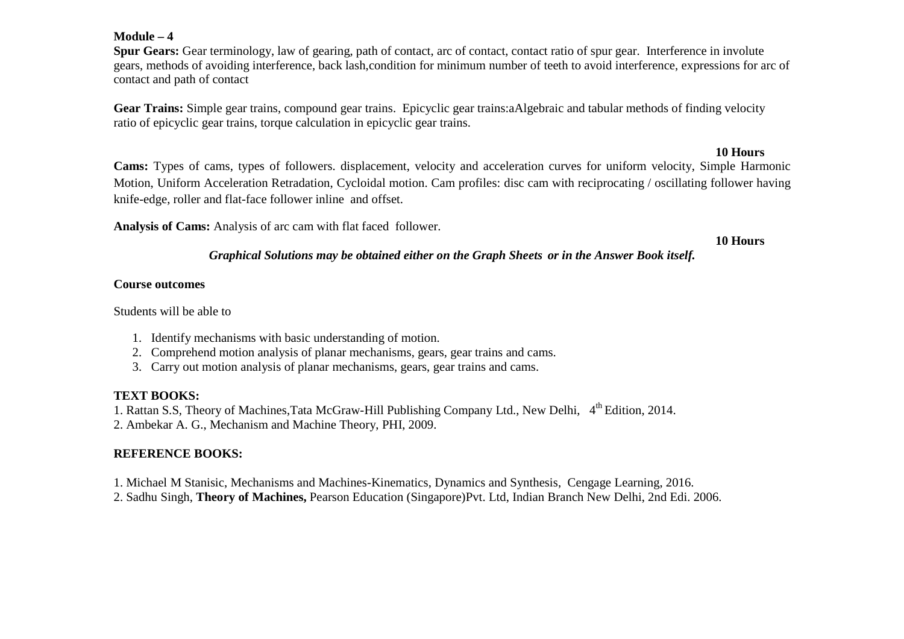## **Module – 4**

 **Spur Gears:** Gear terminology, law of gearing, path of contact, arc of contact, contact ratio of spur gear. Interference in involute gears, methods of avoiding interference, back lash,condition for minimum number of teeth to avoid interference, expressions for arc of contact and path of contact

**Gear Trains:** Simple gear trains, compound gear trains. Epicyclic gear trains:aAlgebraic and tabular methods of finding velocity ratio of epicyclic gear trains, torque calculation in epicyclic gear trains.

## **10 Hours**

 **Cams:** Types of cams, types of followers. displacement, velocity and acceleration curves for uniform velocity, Simple Harmonic Motion, Uniform Acceleration Retradation, Cycloidal motion. Cam profiles: disc cam with reciprocating / oscillating follower having knife-edge, roller and flat-face follower inline and offset.

**Analysis of Cams:** Analysis of arc cam with flat faced follower.

**10 Hours** 

## *Graphical Solutions may be obtained either on the Graph Sheets or in the Answer Book itself.*

## **Course outcomes**

Students will be able to

- 1. Identify mechanisms with basic understanding of motion.
- 2. Comprehend motion analysis of planar mechanisms, gears, gear trains and cams.
- 3. Carry out motion analysis of planar mechanisms, gears, gear trains and cams.

## **TEXT BOOKS:**

1. Rattan S.S, Theory of Machines,Tata McGraw-Hill Publishing Company Ltd., New Delhi, 4<sup>th</sup> Edition, 2014.

2. Ambekar A. G., Mechanism and Machine Theory, PHI, 2009.

# **REFERENCE BOOKS:**

1. Michael M Stanisic, Mechanisms and Machines-Kinematics, Dynamics and Synthesis, Cengage Learning, 2016.

2. Sadhu Singh, **Theory of Machines,** Pearson Education (Singapore)Pvt. Ltd, Indian Branch New Delhi, 2nd Edi. 2006.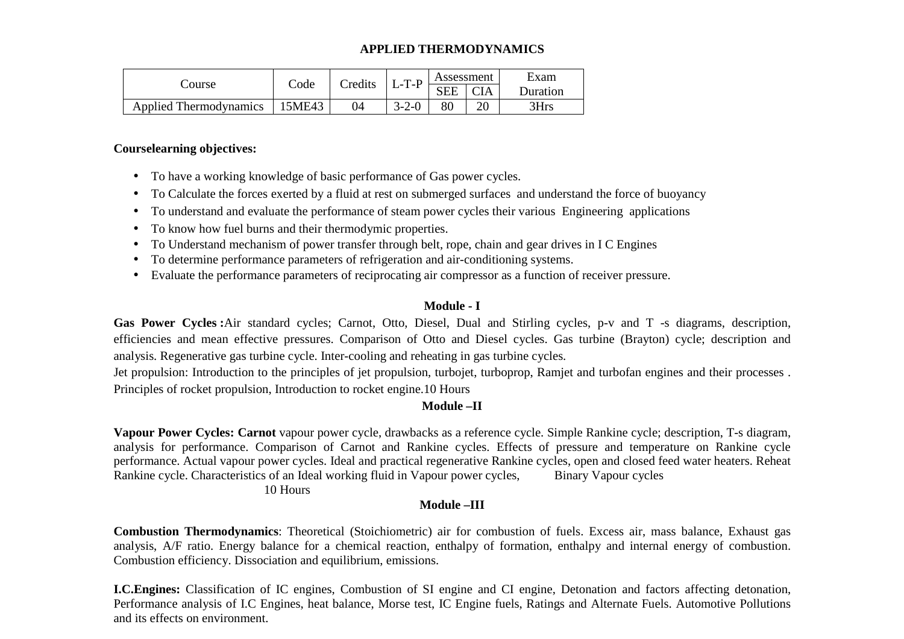## **APPLIED THERMODYNAMICS**

|                               | Code   | Credits | $L-T-P$     | Assessment |    | Exam     |  |
|-------------------------------|--------|---------|-------------|------------|----|----------|--|
| Course                        |        |         |             | <b>SEE</b> |    | Duration |  |
| <b>Applied Thermodynamics</b> | 15ME43 |         | $3 - 2 - 0$ |            | or | $R$ Hrs  |  |

## **Courselearning objectives:**

- To have a working knowledge of basic performance of Gas power cycles.
- To Calculate the forces exerted by a fluid at rest on submerged surfaces and understand the force of buoyancy
- To understand and evaluate the performance of steam power cycles their various Engineering applications
- To know how fuel burns and their thermodymic properties.
- To Understand mechanism of power transfer through belt, rope, chain and gear drives in I C Engines
- To determine performance parameters of refrigeration and air-conditioning systems.
- Evaluate the performance parameters of reciprocating air compressor as a function of receiver pressure.

## **Module - I**

**Gas Power Cycles :**Air standard cycles; Carnot, Otto, Diesel, Dual and Stirling cycles, p-v and T -s diagrams, description, efficiencies and mean effective pressures. Comparison of Otto and Diesel cycles. Gas turbine (Brayton) cycle; description and analysis. Regenerative gas turbine cycle. Inter-cooling and reheating in gas turbine cycles.

Jet propulsion: Introduction to the principles of jet propulsion, turbojet, turboprop, Ramjet and turbofan engines and their processes . Principles of rocket propulsion, Introduction to rocket engine.10 Hours

## **Module –II**

**Vapour Power Cycles: Carnot** vapour power cycle, drawbacks as a reference cycle. Simple Rankine cycle; description, T-s diagram, analysis for performance. Comparison of Carnot and Rankine cycles. Effects of pressure and temperature on Rankine cycle performance. Actual vapour power cycles. Ideal and practical regenerative Rankine cycles, open and closed feed water heaters. Reheat Rankine cycle. Characteristics of an Ideal working fluid in Vapour power cycles, Binary Vapour cycles

## 10 Hours

# **Module –III**

**Combustion Thermodynamics**: Theoretical (Stoichiometric) air for combustion of fuels. Excess air, mass balance, Exhaust gas analysis, A/F ratio. Energy balance for a chemical reaction, enthalpy of formation, enthalpy and internal energy of combustion. Combustion efficiency. Dissociation and equilibrium, emissions.

**I.C.Engines:** Classification of IC engines, Combustion of SI engine and CI engine, Detonation and factors affecting detonation, Performance analysis of I.C Engines, heat balance, Morse test, IC Engine fuels, Ratings and Alternate Fuels. Automotive Pollutions and its effects on environment.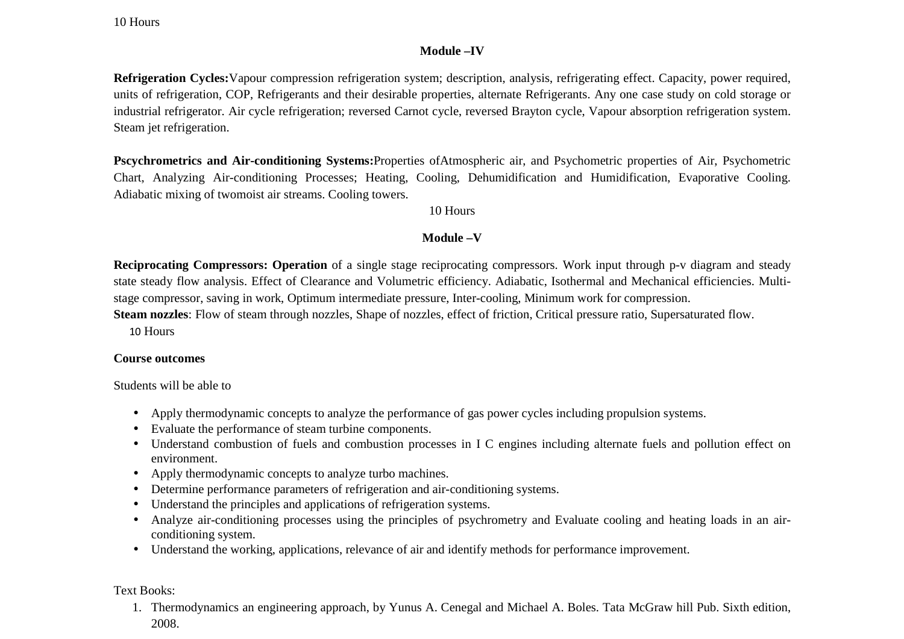10 Hours

## **Module –IV**

**Refrigeration Cycles:**Vapour compression refrigeration system; description, analysis, refrigerating effect. Capacity, power required, units of refrigeration, COP, Refrigerants and their desirable properties, alternate Refrigerants. Any one case study on cold storage or industrial refrigerator. Air cycle refrigeration; reversed Carnot cycle, reversed Brayton cycle, Vapour absorption refrigeration system. Steam jet refrigeration.

**Pscychrometrics and Air-conditioning Systems:**Properties ofAtmospheric air, and Psychometric properties of Air, Psychometric Chart, Analyzing Air-conditioning Processes; Heating, Cooling, Dehumidification and Humidification, Evaporative Cooling. Adiabatic mixing of twomoist air streams. Cooling towers.

10 Hours

# **Module –V**

**Reciprocating Compressors: Operation** of a single stage reciprocating compressors. Work input through p-v diagram and steady state steady flow analysis. Effect of Clearance and Volumetric efficiency. Adiabatic, Isothermal and Mechanical efficiencies. Multistage compressor, saving in work, Optimum intermediate pressure, Inter-cooling, Minimum work for compression.

**Steam nozzles**: Flow of steam through nozzles, Shape of nozzles, effect of friction, Critical pressure ratio, Supersaturated flow.

10 Hours

## **Course outcomes**

Students will be able to

- Apply thermodynamic concepts to analyze the performance of gas power cycles including propulsion systems.
- Evaluate the performance of steam turbine components.
- Understand combustion of fuels and combustion processes in I C engines including alternate fuels and pollution effect on environment.
- Apply thermodynamic concepts to analyze turbo machines.
- Determine performance parameters of refrigeration and air-conditioning systems.
- Understand the principles and applications of refrigeration systems.
- Analyze air-conditioning processes using the principles of psychrometry and Evaluate cooling and heating loads in an airconditioning system.
- Understand the working, applications, relevance of air and identify methods for performance improvement.

Text Books:

1. Thermodynamics an engineering approach, by Yunus A. Cenegal and Michael A. Boles. Tata McGraw hill Pub. Sixth edition, 2008.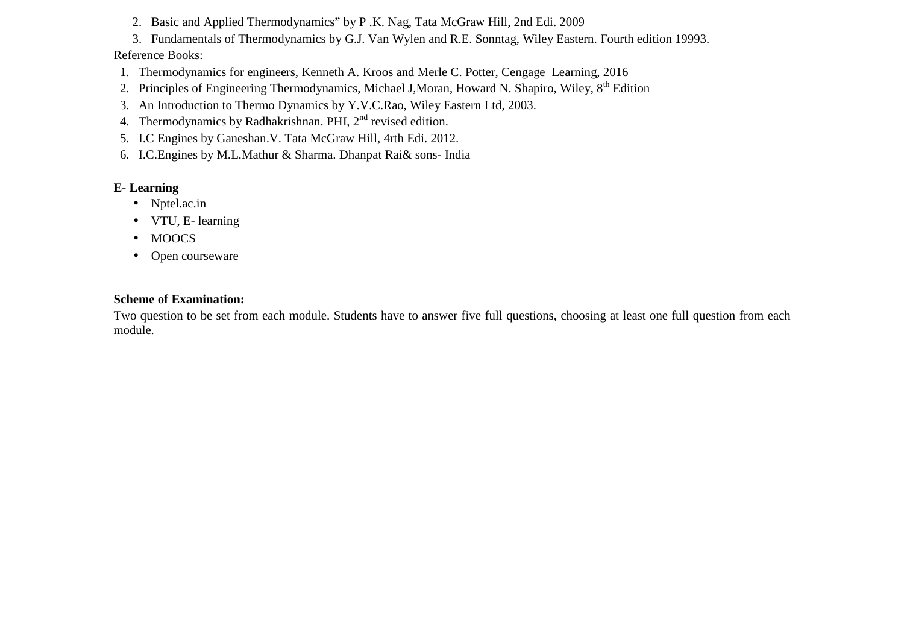- 2. Basic and Applied Thermodynamics" by P .K. Nag, Tata McGraw Hill, 2nd Edi. 2009
- 3. Fundamentals of Thermodynamics by G.J. Van Wylen and R.E. Sonntag, Wiley Eastern. Fourth edition 19993.

# Reference Books:

- 1. Thermodynamics for engineers, Kenneth A. Kroos and Merle C. Potter, Cengage Learning, 2016
- 2. Principles of Engineering Thermodynamics, Michael J, Moran, Howard N. Shapiro, Wiley, 8<sup>th</sup> Edition
- 3. An Introduction to Thermo Dynamics by Y.V.C.Rao, Wiley Eastern Ltd, 2003.
- 4. Thermodynamics by Radhakrishnan. PHI,  $2<sup>nd</sup>$  revised edition.
- 5. I.C Engines by Ganeshan.V. Tata McGraw Hill, 4rth Edi. 2012.
- 6. I.C.Engines by M.L.Mathur & Sharma. Dhanpat Rai& sons- India

# **E- Learning**

- Nptel.ac.in
- VTU, E- learning
- MOOCS
- Open courseware

# **Scheme of Examination:**

Two question to be set from each module. Students have to answer five full questions, choosing at least one full question from each module.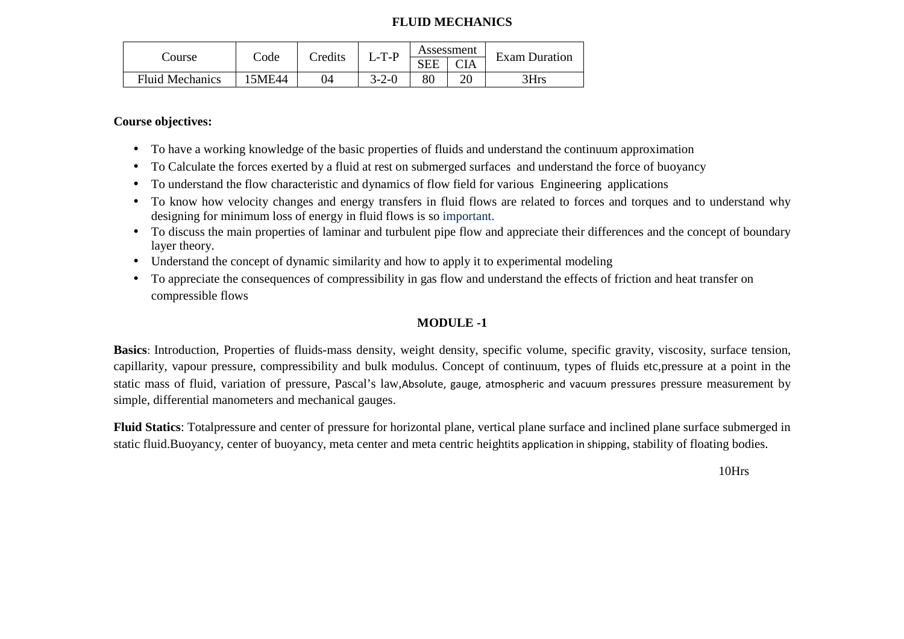## **FLUID MECHANICS**

| Course                 | $\mathrm{Code}$ | Credits | $L$ -T-P    |            | Assessment | <b>Exam Duration</b> |  |
|------------------------|-----------------|---------|-------------|------------|------------|----------------------|--|
|                        |                 |         |             | <b>SEE</b> | CIA        |                      |  |
| <b>Fluid Mechanics</b> | 5ME44           | 94      | $3 - 2 - 0$ | 80         | ZU         | 3Hrs                 |  |

**Course objectives:** 

- To have a working knowledge of the basic properties of fluids and understand the continuum approximation
- To Calculate the forces exerted by a fluid at rest on submerged surfaces and understand the force of buoyancy
- To understand the flow characteristic and dynamics of flow field for various Engineering applications
- To know how velocity changes and energy transfers in fluid flows are related to forces and torques and to understand why designing for minimum loss of energy in fluid flows is so important.
- To discuss the main properties of laminar and turbulent pipe flow and appreciate their differences and the concept of boundary layer theory.
- Understand the concept of dynamic similarity and how to apply it to experimental modeling
- To appreciate the consequences of compressibility in gas flow and understand the effects of friction and heat transfer on compressible flows

# **MODULE -1**

**Basics**: Introduction, Properties of fluids-mass density, weight density, specific volume, specific gravity, viscosity, surface tension, capillarity, vapour pressure, compressibility and bulk modulus. Concept of continuum, types of fluids etc,pressure at a point in the static mass of fluid, variation of pressure, Pascal's law,Absolute, gauge, atmospheric and vacuum pressures pressure measurement by simple, differential manometers and mechanical gauges.

**Fluid Statics**: Totalpressure and center of pressure for horizontal plane, vertical plane surface and inclined plane surface submerged in static fluid.Buoyancy, center of buoyancy, meta center and meta centric heightits application in shipping, stability of floating bodies.

10Hrs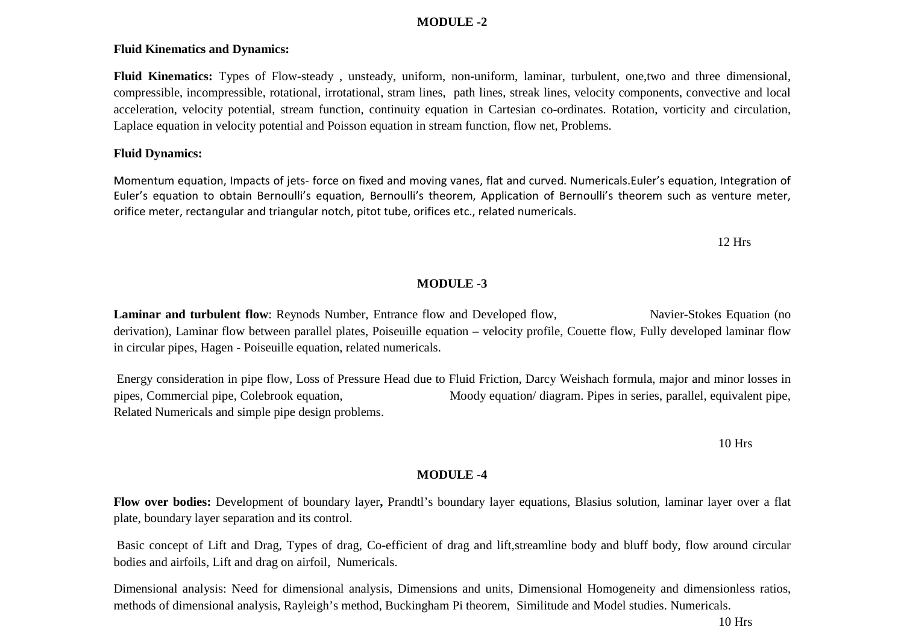## **MODULE -2**

## **Fluid Kinematics and Dynamics:**

**Fluid Kinematics:** Types of Flow-steady , unsteady, uniform, non-uniform, laminar, turbulent, one,two and three dimensional, compressible, incompressible, rotational, irrotational, stram lines, path lines, streak lines, velocity components, convective and local acceleration, velocity potential, stream function, continuity equation in Cartesian co-ordinates. Rotation, vorticity and circulation, Laplace equation in velocity potential and Poisson equation in stream function, flow net, Problems.

## **Fluid Dynamics:**

Momentum equation, Impacts of jets- force on fixed and moving vanes, flat and curved. Numericals.Euler's equation, Integration of Euler's equation to obtain Bernoulli's equation, Bernoulli's theorem, Application of Bernoulli's theorem such as venture meter, orifice meter, rectangular and triangular notch, pitot tube, orifices etc., related numericals.

12 Hrs

## **MODULE -3**

**Laminar and turbulent flow**: Reynods Number, Entrance flow and Developed flow, Navier-Stokes Equation (no derivation), Laminar flow between parallel plates, Poiseuille equation – velocity profile, Couette flow, Fully developed laminar flow in circular pipes, Hagen - Poiseuille equation, related numericals.

 Energy consideration in pipe flow, Loss of Pressure Head due to Fluid Friction, Darcy Weishach formula, major and minor losses in pipes, Commercial pipe, Colebrook equation, Moody equation/ diagram. Pipes in series, parallel, equivalent pipe, Related Numericals and simple pipe design problems.

10 Hrs

## **MODULE -4**

**Flow over bodies:** Development of boundary layer**,** Prandtl's boundary layer equations, Blasius solution, laminar layer over a flat plate, boundary layer separation and its control.

 Basic concept of Lift and Drag, Types of drag, Co-efficient of drag and lift,streamline body and bluff body, flow around circular bodies and airfoils, Lift and drag on airfoil, Numericals.

Dimensional analysis: Need for dimensional analysis, Dimensions and units, Dimensional Homogeneity and dimensionless ratios, methods of dimensional analysis, Rayleigh's method, Buckingham Pi theorem, Similitude and Model studies. Numericals.

10 Hrs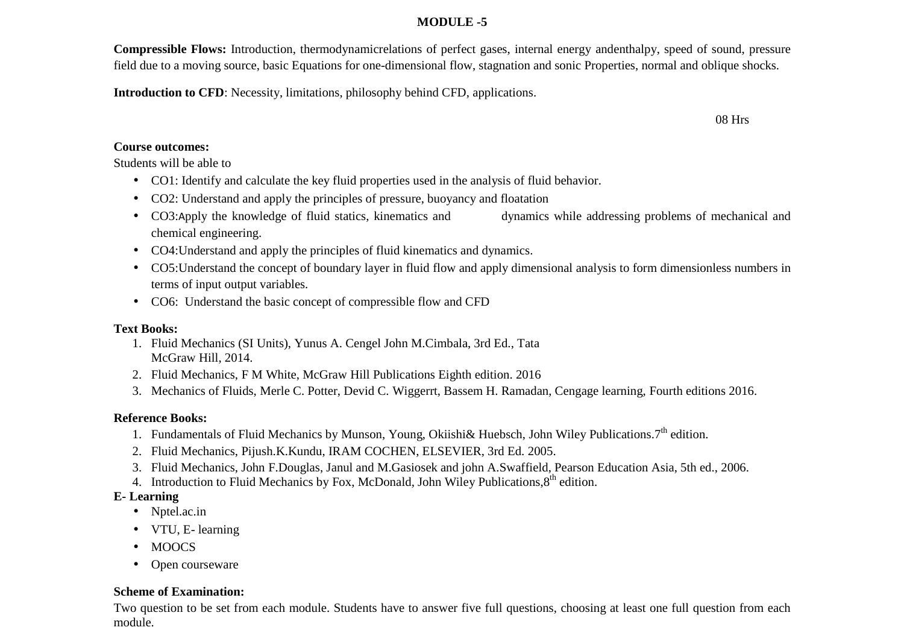# **MODULE -5**

**Compressible Flows:** Introduction, thermodynamicrelations of perfect gases, internal energy andenthalpy, speed of sound, pressure field due to a moving source, basic Equations for one-dimensional flow, stagnation and sonic Properties, normal and oblique shocks.

**Introduction to CFD**: Necessity, limitations, philosophy behind CFD, applications.

## **Course outcomes:**

Students will be able to

- CO1: Identify and calculate the key fluid properties used in the analysis of fluid behavior.
- CO2: Understand and apply the principles of pressure, buoyancy and floatation
- CO3:Apply the knowledge of fluid statics, kinematics and dynamics while addressing problems of mechanical and chemical engineering.
- CO4:Understand and apply the principles of fluid kinematics and dynamics.
- CO5:Understand the concept of boundary layer in fluid flow and apply dimensional analysis to form dimensionless numbers in terms of input output variables.
- CO6: Understand the basic concept of compressible flow and CFD

# **Text Books:**

- 1. Fluid Mechanics (SI Units), Yunus A. Cengel John M.Cimbala, 3rd Ed., Tata McGraw Hill, 2014.
- 2. Fluid Mechanics, F M White, McGraw Hill Publications Eighth edition. 2016
- 3. Mechanics of Fluids, Merle C. Potter, Devid C. Wiggerrt, Bassem H. Ramadan, Cengage learning, Fourth editions 2016.

# **Reference Books:**

- 1. Fundamentals of Fluid Mechanics by Munson, Young, Okiishi& Huebsch, John Wiley Publications.7<sup>th</sup> edition.
- 2. Fluid Mechanics, Pijush.K.Kundu, IRAM COCHEN, ELSEVIER, 3rd Ed. 2005.
- 3. Fluid Mechanics, John F.Douglas, Janul and M.Gasiosek and john A.Swaffield, Pearson Education Asia, 5th ed., 2006.
- 4. Introduction to Fluid Mechanics by Fox, McDonald, John Wiley Publications,  $8<sup>th</sup>$  edition.

# **E- Learning**

- Nptel.ac.in
- VTU, E- learning
- MOOCS
- $\bullet$ Open courseware

# **Scheme of Examination:**

Two question to be set from each module. Students have to answer five full questions, choosing at least one full question from each module.

08 Hrs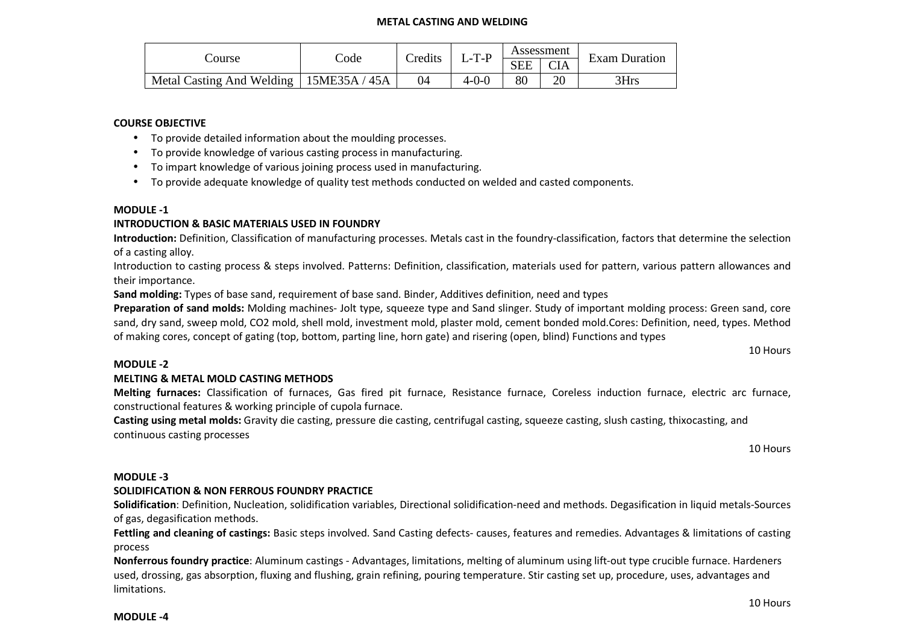#### **METAL CASTING AND WELDING**

|                           |               | Credits | $L-T-P$ |            | Assessment | <b>Exam Duration</b> |  |
|---------------------------|---------------|---------|---------|------------|------------|----------------------|--|
| Course                    | Code          |         |         | <b>SEE</b> | <b>CIA</b> |                      |  |
| Metal Casting And Welding | 15ME35A / 45A | 04      | 4-0-0   | 80         | ററ         | 3Hrs                 |  |

#### **COURSE OBJECTIVE**

- To provide detailed information about the moulding processes.
- To provide knowledge of various casting process in manufacturing.
- To impart knowledge of various joining process used in manufacturing.
- To provide adequate knowledge of quality test methods conducted on welded and casted components.

#### **MODULE -1**

#### **INTRODUCTION & BASIC MATERIALS USED IN FOUNDRY**

 **Introduction:** Definition, Classification of manufacturing processes. Metals cast in the foundry-classification, factors that determine the selection of a casting alloy.

Introduction to casting process & steps involved. Patterns: Definition, classification, materials used for pattern, various pattern allowances and their importance.

**Sand molding:** Types of base sand, requirement of base sand. Binder, Additives definition, need and types

**Preparation of sand molds:** Molding machines- Jolt type, squeeze type and Sand slinger. Study of important molding process: Green sand, core sand, dry sand, sweep mold, CO2 mold, shell mold, investment mold, plaster mold, cement bonded mold.Cores: Definition, need, types. Method of making cores, concept of gating (top, bottom, parting line, horn gate) and risering (open, blind) Functions and types

10 Hours

#### **MODULE -2**

#### **MELTING & METAL MOLD CASTING METHODS**

**Melting furnaces:** Classification of furnaces, Gas fired pit furnace, Resistance furnace, Coreless induction furnace, electric arc furnace, constructional features & working principle of cupola furnace.

**Casting using metal molds:** Gravity die casting, pressure die casting, centrifugal casting, squeeze casting, slush casting, thixocasting, and continuous casting processes

10 Hours

#### **MODULE -3**

#### **SOLIDIFICATION & NON FERROUS FOUNDRY PRACTICE**

**Solidification**: Definition, Nucleation, solidification variables, Directional solidification-need and methods. Degasification in liquid metals-Sources of gas, degasification methods.

**Fettling and cleaning of castings:** Basic steps involved. Sand Casting defects- causes, features and remedies. Advantages & limitations of casting process

**Nonferrous foundry practice**: Aluminum castings - Advantages, limitations, melting of aluminum using lift-out type crucible furnace. Hardeners used, drossing, gas absorption, fluxing and flushing, grain refining, pouring temperature. Stir casting set up, procedure, uses, advantages and limitations.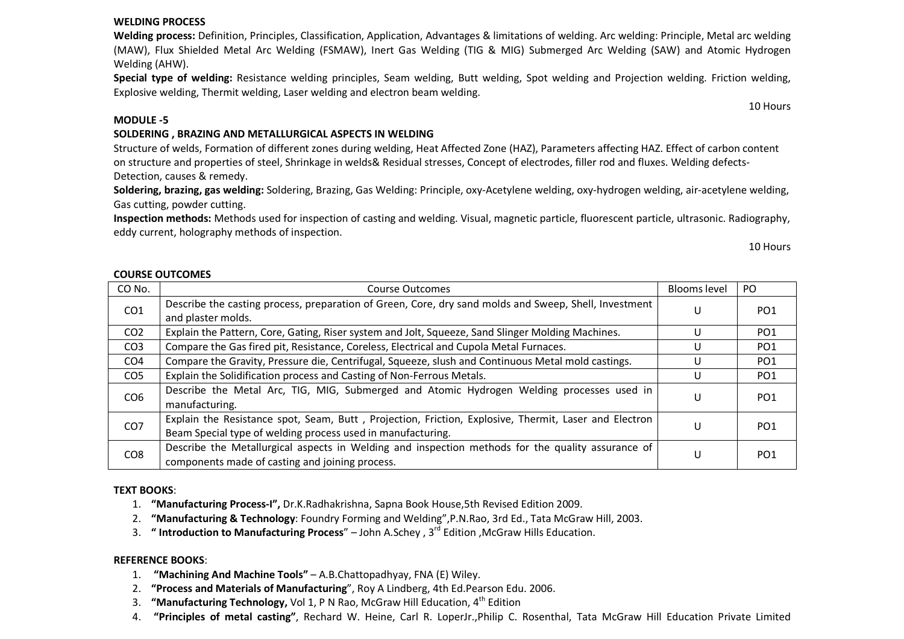### 4. **"Principles of metal casting"**, Rechard W. Heine, Carl R. LoperJr.,Philip C. Rosenthal, Tata McGraw Hill Education Private Limited

#### **WELDING PROCESS**

 **Welding process:** Definition, Principles, Classification, Application, Advantages & limitations of welding. Arc welding: Principle, Metal arc welding (MAW), Flux Shielded Metal Arc Welding (FSMAW), Inert Gas Welding (TIG & MIG) Submerged Arc Welding (SAW) and Atomic Hydrogen Welding (AHW).

**Special type of welding:** Resistance welding principles, Seam welding, Butt welding, Spot welding and Projection welding. Friction welding, Explosive welding, Thermit welding, Laser welding and electron beam welding.

### **MODULE -5**

### **SOLDERING , BRAZING AND METALLURGICAL ASPECTS IN WELDING**

Structure of welds, Formation of different zones during welding, Heat Affected Zone (HAZ), Parameters affecting HAZ. Effect of carbon content on structure and properties of steel, Shrinkage in welds& Residual stresses, Concept of electrodes, filler rod and fluxes. Welding defects-Detection, causes & remedy.

**Soldering, brazing, gas welding:** Soldering, Brazing, Gas Welding: Principle, oxy-Acetylene welding, oxy-hydrogen welding, air-acetylene welding, Gas cutting, powder cutting.

**Inspection methods:** Methods used for inspection of casting and welding. Visual, magnetic particle, fluorescent particle, ultrasonic. Radiography, eddy current, holography methods of inspection.

10 Hours

| <b>COURSE OUTCOMES</b> |
|------------------------|
|                        |

| CO No.          | <b>Course Outcomes</b>                                                                                                                                               | Blooms level | PO.             |
|-----------------|----------------------------------------------------------------------------------------------------------------------------------------------------------------------|--------------|-----------------|
| CO <sub>1</sub> | Describe the casting process, preparation of Green, Core, dry sand molds and Sweep, Shell, Investment<br>and plaster molds.                                          | U            | PO <sub>1</sub> |
| CO <sub>2</sub> | Explain the Pattern, Core, Gating, Riser system and Jolt, Squeeze, Sand Slinger Molding Machines.                                                                    | U            | PO <sub>1</sub> |
| CO <sub>3</sub> | Compare the Gas fired pit, Resistance, Coreless, Electrical and Cupola Metal Furnaces.                                                                               | U            | PO <sub>1</sub> |
| CO <sub>4</sub> | Compare the Gravity, Pressure die, Centrifugal, Squeeze, slush and Continuous Metal mold castings.                                                                   | U            | PO <sub>1</sub> |
| CO <sub>5</sub> | Explain the Solidification process and Casting of Non-Ferrous Metals.                                                                                                | U            | PO <sub>1</sub> |
| CO <sub>6</sub> | Describe the Metal Arc, TIG, MIG, Submerged and Atomic Hydrogen Welding processes used in<br>manufacturing.                                                          | U            | PO <sub>1</sub> |
| CO <sub>7</sub> | Explain the Resistance spot, Seam, Butt, Projection, Friction, Explosive, Thermit, Laser and Electron<br>Beam Special type of welding process used in manufacturing. | U            | PO <sub>1</sub> |
| CO <sub>8</sub> | Describe the Metallurgical aspects in Welding and inspection methods for the quality assurance of<br>components made of casting and joining process.                 | U            | PO <sub>1</sub> |

### **TEXT BOOKS**:

- 1. **"Manufacturing Process-I",** Dr.K.Radhakrishna, Sapna Book House,5th Revised Edition 2009.
- 2. **"Manufacturing & Technology**: Foundry Forming and Welding",P.N.Rao, 3rd Ed., Tata McGraw Hill, 2003.
- 3. **" Introduction to Manufacturing Process**" John A.Schey , 3rd Edition ,McGraw Hills Education.

### **REFERENCE BOOKS**:

- 1. **"Machining And Machine Tools"** A.B.Chattopadhyay, FNA (E) Wiley.
- 2. **"Process and Materials of Manufacturing**", Roy A Lindberg, 4th Ed.Pearson Edu. 2006.
- 3. **"Manufacturing Technology,** Vol 1, P N Rao, McGraw Hill Education, 4th Edition
	-

10 Hours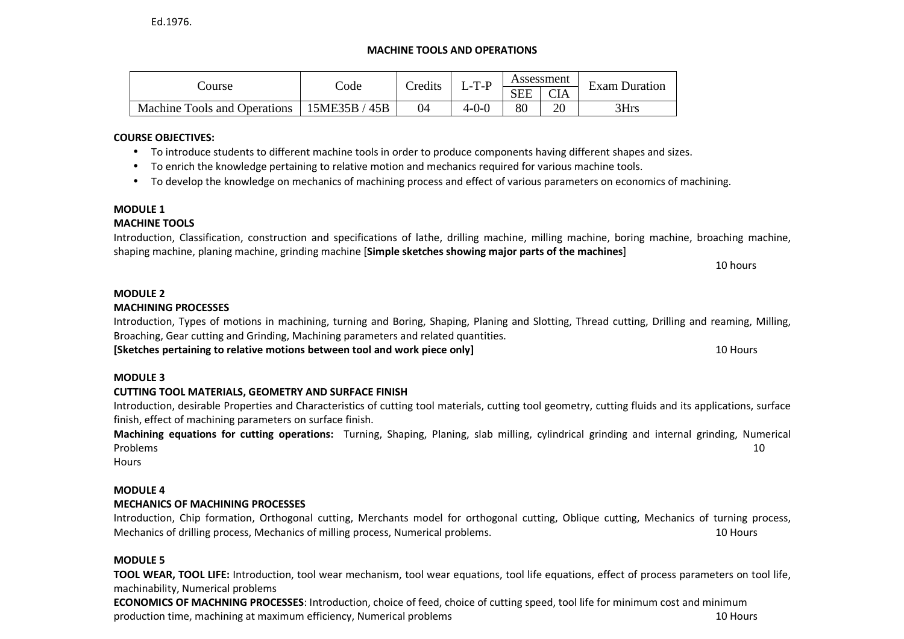## **MACHINE TOOLS AND OPERATIONS**

|                              | Code             | Credits | $L-T-P$     |            | Assessment | <b>Exam Duration</b> |  |
|------------------------------|------------------|---------|-------------|------------|------------|----------------------|--|
| Course                       |                  |         |             | <b>SEE</b> | <b>CIA</b> |                      |  |
| Machine Tools and Operations | 15ME35B /<br>45B | 04      | $4 - 0 - C$ | 80         | ኅ∩<br>ZU   | 3Hrs                 |  |

## **COURSE OBJECTIVES:**

- To introduce students to different machine tools in order to produce components having different shapes and sizes.
- To enrich the knowledge pertaining to relative motion and mechanics required for various machine tools.
- To develop the knowledge on mechanics of machining process and effect of various parameters on economics of machining.

## **MODULE 1**

## **MACHINE TOOLS**

Introduction, Classification, construction and specifications of lathe, drilling machine, milling machine, boring machine, broaching machine, shaping machine, planing machine, grinding machine [**Simple sketches showing major parts of the machines**]

10 hours

## **MODULE 2**

## **MACHINING PROCESSES**

Introduction, Types of motions in machining, turning and Boring, Shaping, Planing and Slotting, Thread cutting, Drilling and reaming, Milling, Broaching, Gear cutting and Grinding, Machining parameters and related quantities.

**[Sketches pertaining to relative motions between tool and work piece only]** 10 Hours

## **MODULE 3**

## **CUTTING TOOL MATERIALS, GEOMETRY AND SURFACE FINISH**

 Introduction, desirable Properties and Characteristics of cutting tool materials, cutting tool geometry, cutting fluids and its applications, surface finish, effect of machining parameters on surface finish.

**Machining equations for cutting operations:** Turning, Shaping, Planing, slab milling, cylindrical grinding and internal grinding, Numerical Problems 10

**Hours** 

## **MODULE 4**

## **MECHANICS OF MACHINING PROCESSES**

Introduction, Chip formation, Orthogonal cutting, Merchants model for orthogonal cutting, Oblique cutting, Mechanics of turning process, Mechanics of drilling process, Mechanics of milling process, Numerical problems. 10 Hours

## **MODULE 5**

 **TOOL WEAR, TOOL LIFE:** Introduction, tool wear mechanism, tool wear equations, tool life equations, effect of process parameters on tool life, machinability, Numerical problems

**ECONOMICS OF MACHNING PROCESSES**: Introduction, choice of feed, choice of cutting speed, tool life for minimum cost and minimum production time, machining at maximum efficiency, Numerical problems 10 Hours 10 Hours 10 Hours 10 Hours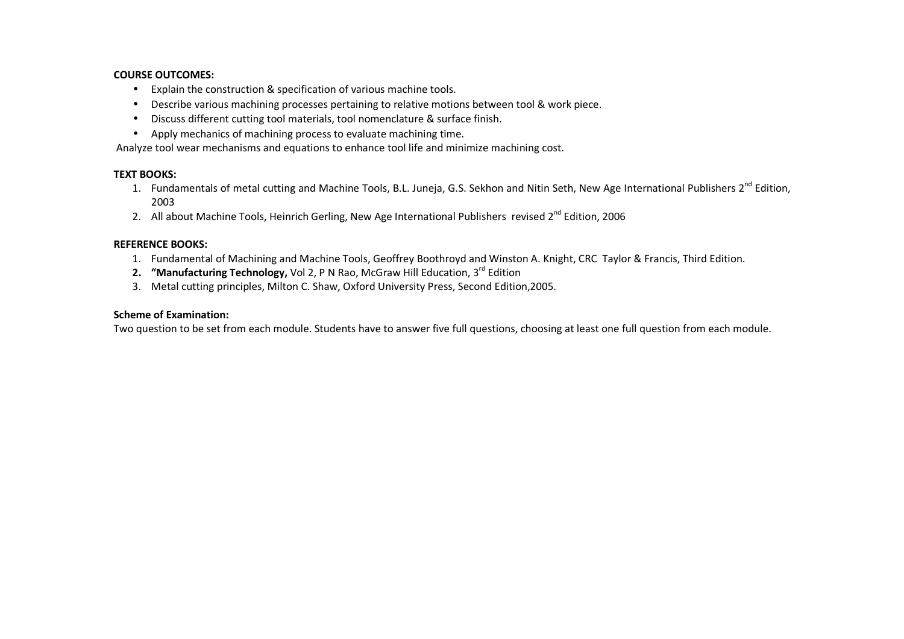#### **COURSE OUTCOMES:**

- Explain the construction & specification of various machine tools.
- Describe various machining processes pertaining to relative motions between tool & work piece.
- Discuss different cutting tool materials, tool nomenclature & surface finish.
- Apply mechanics of machining process to evaluate machining time.

Analyze tool wear mechanisms and equations to enhance tool life and minimize machining cost.

#### **TEXT BOOKS:**

- 1. Fundamentals of metal cutting and Machine Tools, B.L. Juneja, G.S. Sekhon and Nitin Seth, New Age International Publishers 2<sup>nd</sup> Edition, 2003
- 2. All about Machine Tools, Heinrich Gerling, New Age International Publishers revised 2<sup>nd</sup> Edition, 2006

#### **REFERENCE BOOKS:**

- 1. Fundamental of Machining and Machine Tools, Geoffrey Boothroyd and Winston A. Knight, CRC Taylor & Francis, Third Edition.
- **2. "Manufacturing Technology,** Vol 2, P N Rao, McGraw Hill Education, 3rd Edition
- 3. Metal cutting principles, Milton C. Shaw, Oxford University Press, Second Edition,2005.

#### **Scheme of Examination:**

Two question to be set from each module. Students have to answer five full questions, choosing at least one full question from each module.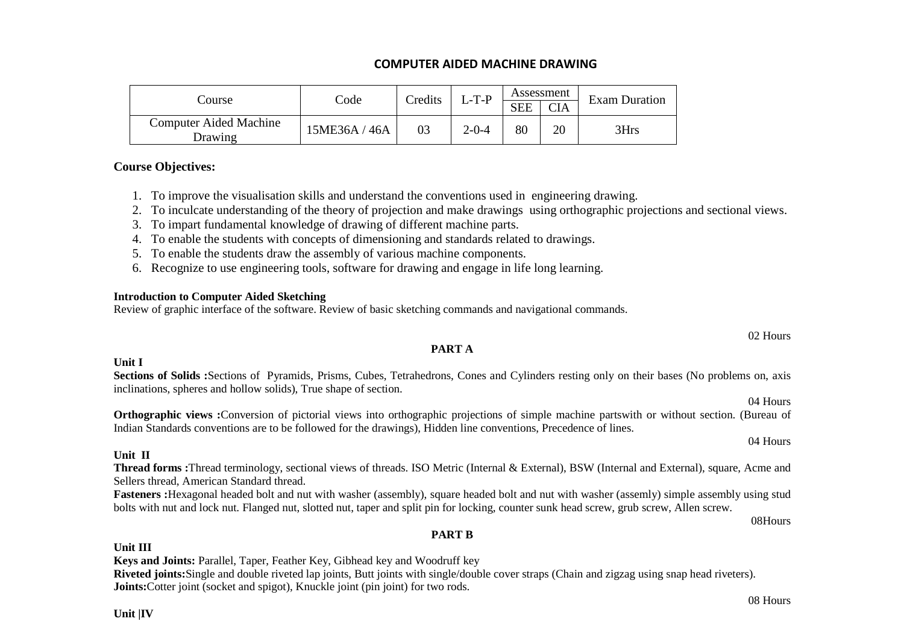## **COMPUTER AIDED MACHINE DRAWING**

|                                          |               | Credits | $L$ -T-P |            | Assessment | <b>Exam Duration</b> |
|------------------------------------------|---------------|---------|----------|------------|------------|----------------------|
| Course                                   | Code          |         |          | <b>SEE</b> | <b>CIA</b> |                      |
| <b>Computer Aided Machine</b><br>Drawing | 15ME36A / 46A | 03      | 2-0-4    | 80         | 20         | 3Hrs                 |

### **Course Objectives:**

1. To improve the visualisation skills and understand the conventions used in engineering drawing.

2. To inculcate understanding of the theory of projection and make drawings using orthographic projections and sectional views.

3. To impart fundamental knowledge of drawing of different machine parts.

4. To enable the students with concepts of dimensioning and standards related to drawings.

5. To enable the students draw the assembly of various machine components.

6. Recognize to use engineering tools, software for drawing and engage in life long learning.

### **Introduction to Computer Aided Sketching**

Review of graphic interface of the software. Review of basic sketching commands and navigational commands.

**PART A** 

Sections of Solids :Sections of Pyramids, Prisms, Cubes, Tetrahedrons, Cones and Cylinders resting only on their bases (No problems on, axis inclinations, spheres and hollow solids), True shape of section.

 **Orthographic views :**Conversion of pictorial views into orthographic projections of simple machine partswith or without section. (Bureau of Indian Standards conventions are to be followed for the drawings), Hidden line conventions, Precedence of lines.

### **Unit II**

**Unit I** 

 **Thread forms :**Thread terminology, sectional views of threads. ISO Metric (Internal & External), BSW (Internal and External), square, Acme and Sellers thread, American Standard thread.

 **Fasteners :**Hexagonal headed bolt and nut with washer (assembly), square headed bolt and nut with washer (assemly) simple assembly using stud bolts with nut and lock nut. Flanged nut, slotted nut, taper and split pin for locking, counter sunk head screw, grub screw, Allen screw.

08Hours

08 Hours

## **PART B**

## **Unit III**

**Keys and Joints:** Parallel, Taper, Feather Key, Gibhead key and Woodruff key

 **Riveted joints:**Single and double riveted lap joints, Butt joints with single/double cover straps (Chain and zigzag using snap head riveters). **Joints:**Cotter joint (socket and spigot), Knuckle joint (pin joint) for two rods.

02 Hours

04 Hours

04 Hours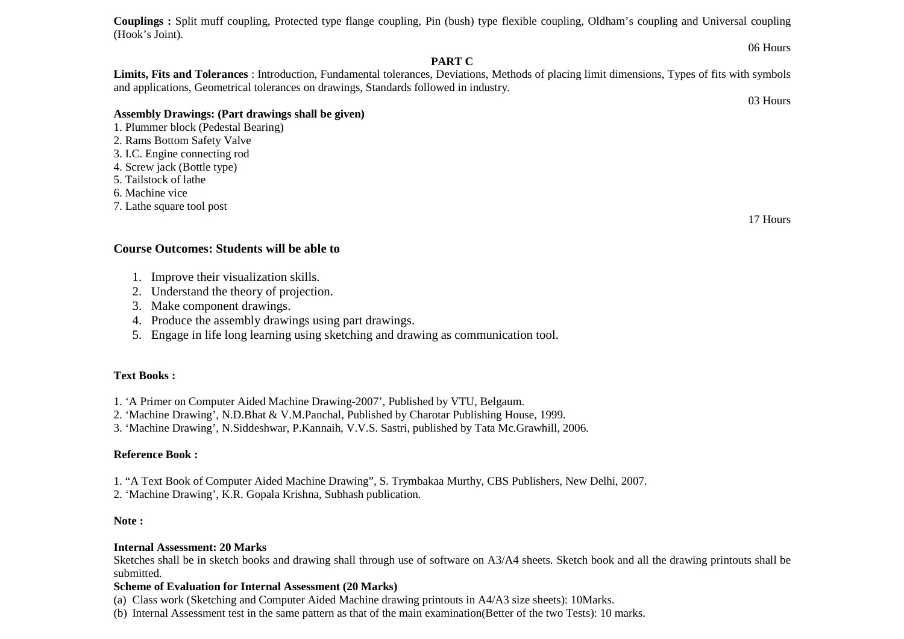**Couplings :** Split muff coupling, Protected type flange coupling, Pin (bush) type flexible coupling, Oldham's coupling and Universal coupling (Hook's Joint).

### **PART C**

 **Limits, Fits and Tolerances** : Introduction, Fundamental tolerances, Deviations, Methods of placing limit dimensions, Types of fits with symbols and applications, Geometrical tolerances on drawings, Standards followed in industry.

### **Assembly Drawings: (Part drawings shall be given)**

- 1. Plummer block (Pedestal Bearing)
- 2. Rams Bottom Safety Valve
- 3. I.C. Engine connecting rod
- 4. Screw jack (Bottle type)
- 5. Tailstock of lathe
- 6. Machine vice
- 7. Lathe square tool post

### **Course Outcomes: Students will be able to**

- 1. Improve their visualization skills.
- 2. Understand the theory of projection.
- 3. Make component drawings.
- 4. Produce the assembly drawings using part drawings.
- 5. Engage in life long learning using sketching and drawing as communication tool.

## **Text Books :**

- 1. 'A Primer on Computer Aided Machine Drawing-2007', Published by VTU, Belgaum.
- 2. 'Machine Drawing', N.D.Bhat & V.M.Panchal, Published by Charotar Publishing House, 1999.
- 3. 'Machine Drawing', N.Siddeshwar, P.Kannaih, V.V.S. Sastri, published by Tata Mc.Grawhill, 2006.

## **Reference Book :**

- 1. "A Text Book of Computer Aided Machine Drawing", S. Trymbakaa Murthy, CBS Publishers, New Delhi, 2007.
- 2. 'Machine Drawing', K.R. Gopala Krishna, Subhash publication.

## **Note :**

### **Internal Assessment: 20 Marks**

 Sketches shall be in sketch books and drawing shall through use of software on A3/A4 sheets. Sketch book and all the drawing printouts shall be submitted.

## **Scheme of Evaluation for Internal Assessment (20 Marks)**

(a) Class work (Sketching and Computer Aided Machine drawing printouts in A4/A3 size sheets): 10Marks.

(b) Internal Assessment test in the same pattern as that of the main examination(Better of the two Tests): 10 marks.

### 17 Hours

06 Hours

03 Hours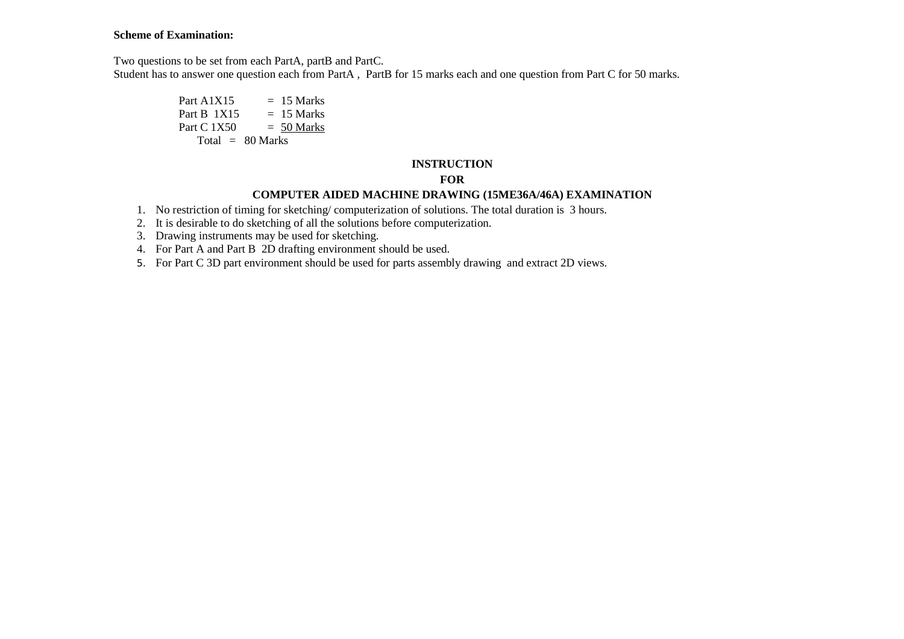#### **Scheme of Examination:**

Two questions to be set from each PartA, partB and PartC.

Student has to answer one question each from PartA, PartB for 15 marks each and one question from Part C for 50 marks.

Part A1X15  $= 15$  Marks  $= 15$  Marks Part B  $1X15$  $= 50$  Marks Part C  $1X50$ Total  $= 80$  Marks

### **INSTRUCTION**

## **FOR**

## **COMPUTER AIDED MACHINE DRAWING (15ME36A/46A) EXAMINATION**

- 1. No restriction of timing for sketching/ computerization of solutions. The total duration is 3 hours.
- 2. It is desirable to do sketching of all the solutions before computerization.
- 3. Drawing instruments may be used for sketching.
- 4. For Part A and Part B 2D drafting environment should be used.
- 5. For Part C 3D part environment should be used for parts assembly drawing and extract 2D views.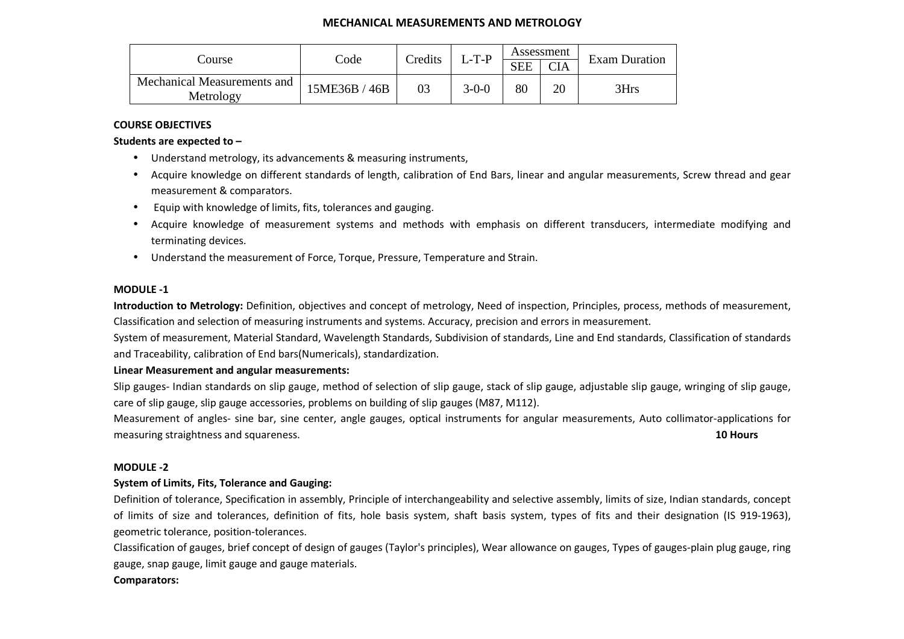### **MECHANICAL MEASUREMENTS AND METROLOGY**

|                                          |              | Credits        | $L-T-P$     | Assessment |            | <b>Exam Duration</b> |  |
|------------------------------------------|--------------|----------------|-------------|------------|------------|----------------------|--|
| Course                                   | Code         |                |             | <b>SEE</b> | <b>CIA</b> |                      |  |
| Mechanical Measurements and<br>Metrology | 5ME36B / 46B | 0 <sup>2</sup> | $3 - 0 - 0$ | 80         | 20         | 3Hrs                 |  |

### **COURSE OBJECTIVES**

**Students are expected to –** 

- Understand metrology, its advancements & measuring instruments,
- Acquire knowledge on different standards of length, calibration of End Bars, linear and angular measurements, Screw thread and gear measurement & comparators.
- Equip with knowledge of limits, fits, tolerances and gauging.
- Acquire knowledge of measurement systems and methods with emphasis on different transducers, intermediate modifying and terminating devices.
- Understand the measurement of Force, Torque, Pressure, Temperature and Strain.

#### **MODULE -1**

**Introduction to Metrology:** Definition, objectives and concept of metrology, Need of inspection, Principles, process, methods of measurement, Classification and selection of measuring instruments and systems. Accuracy, precision and errors in measurement.

System of measurement, Material Standard, Wavelength Standards, Subdivision of standards, Line and End standards, Classification of standards and Traceability, calibration of End bars(Numericals), standardization.

#### **Linear Measurement and angular measurements:**

Slip gauges- Indian standards on slip gauge, method of selection of slip gauge, stack of slip gauge, adjustable slip gauge, wringing of slip gauge, care of slip gauge, slip gauge accessories, problems on building of slip gauges (M87, M112).

Measurement of angles- sine bar, sine center, angle gauges, optical instruments for angular measurements, Auto collimator-applications for measuring straightness and squareness. **10 Hours**

#### **MODULE -2**

#### **System of Limits, Fits, Tolerance and Gauging:**

Definition of tolerance, Specification in assembly, Principle of interchangeability and selective assembly, limits of size, Indian standards, concept of limits of size and tolerances, definition of fits, hole basis system, shaft basis system, types of fits and their designation (IS 919-1963), geometric tolerance, position-tolerances.

Classification of gauges, brief concept of design of gauges (Taylor's principles), Wear allowance on gauges, Types of gauges-plain plug gauge, ring gauge, snap gauge, limit gauge and gauge materials.

#### **Comparators:**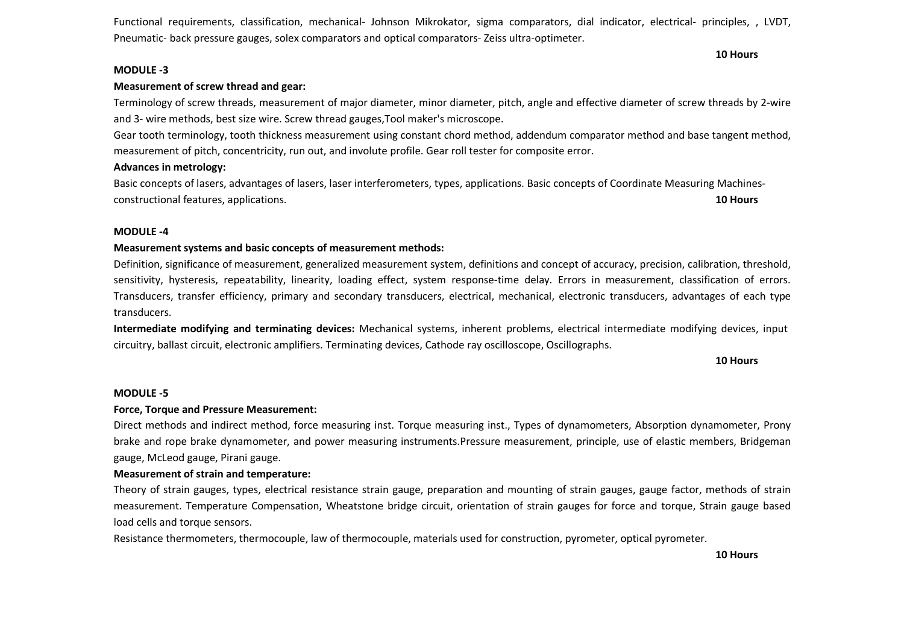Functional requirements, classification, mechanical- Johnson Mikrokator, sigma comparators, dial indicator, electrical- principles, , LVDT, Pneumatic- back pressure gauges, solex comparators and optical comparators- Zeiss ultra-optimeter.

#### **MODULE -3**

#### **Measurement of screw thread and gear:**

Terminology of screw threads, measurement of major diameter, minor diameter, pitch, angle and effective diameter of screw threads by 2-wire and 3- wire methods, best size wire. Screw thread gauges,Tool maker's microscope.

Gear tooth terminology, tooth thickness measurement using constant chord method, addendum comparator method and base tangent method, measurement of pitch, concentricity, run out, and involute profile. Gear roll tester for composite error.

#### **Advances in metrology:**

Basic concepts of lasers, advantages of lasers, laser interferometers, types, applications. Basic concepts of Coordinate Measuring Machinesconstructional features, applications. **10 Hours** 

#### **MODULE -4**

#### **Measurement systems and basic concepts of measurement methods:**

Definition, significance of measurement, generalized measurement system, definitions and concept of accuracy, precision, calibration, threshold, sensitivity, hysteresis, repeatability, linearity, loading effect, system response-time delay. Errors in measurement, classification of errors. Transducers, transfer efficiency, primary and secondary transducers, electrical, mechanical, electronic transducers, advantages of each type transducers.

**Intermediate modifying and terminating devices:** Mechanical systems, inherent problems, electrical intermediate modifying devices, input circuitry, ballast circuit, electronic amplifiers. Terminating devices, Cathode ray oscilloscope, Oscillographs.

**10 Hours**

**10 Hours** 

#### **MODULE -5**

#### **Force, Torque and Pressure Measurement:**

Direct methods and indirect method, force measuring inst. Torque measuring inst., Types of dynamometers, Absorption dynamometer, Prony brake and rope brake dynamometer, and power measuring instruments.Pressure measurement, principle, use of elastic members, Bridgeman gauge, McLeod gauge, Pirani gauge.

#### **Measurement of strain and temperature:**

Theory of strain gauges, types, electrical resistance strain gauge, preparation and mounting of strain gauges, gauge factor, methods of strain measurement. Temperature Compensation, Wheatstone bridge circuit, orientation of strain gauges for force and torque, Strain gauge based load cells and torque sensors.

Resistance thermometers, thermocouple, law of thermocouple, materials used for construction, pyrometer, optical pyrometer.

**10 Hours**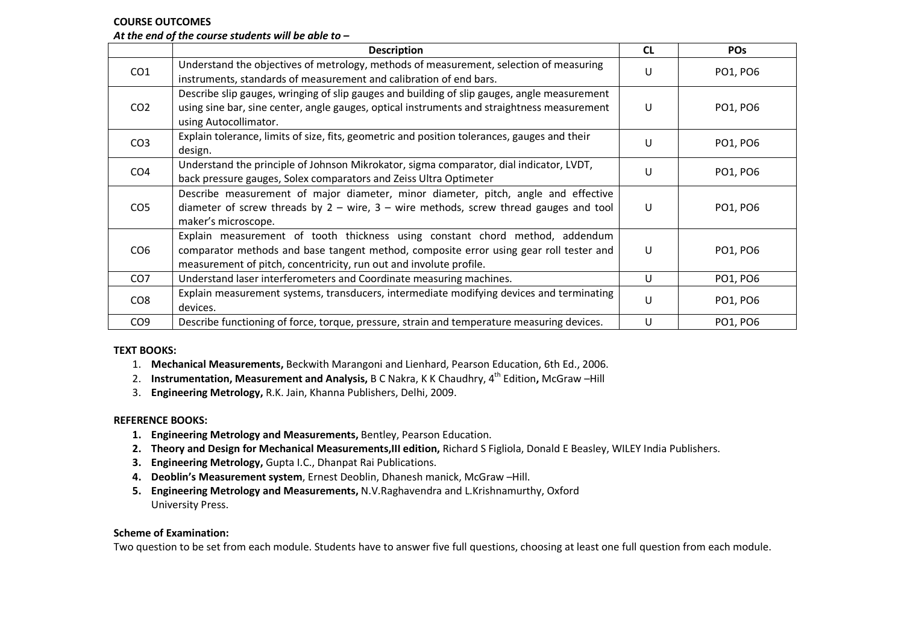#### **COURSE OUTCOMES**

## *At the end of the course students will be able to –*

|                 | <b>Description</b>                                                                                                                                                                                                                           | <b>CL</b>    | <b>POS</b> |
|-----------------|----------------------------------------------------------------------------------------------------------------------------------------------------------------------------------------------------------------------------------------------|--------------|------------|
| CO <sub>1</sub> | Understand the objectives of metrology, methods of measurement, selection of measuring<br>instruments, standards of measurement and calibration of end bars.                                                                                 | U            | PO1, PO6   |
| CO <sub>2</sub> | Describe slip gauges, wringing of slip gauges and building of slip gauges, angle measurement<br>using sine bar, sine center, angle gauges, optical instruments and straightness measurement<br>using Autocollimator.                         | $\mathsf{U}$ | PO1, PO6   |
| CO <sub>3</sub> | Explain tolerance, limits of size, fits, geometric and position tolerances, gauges and their<br>design.                                                                                                                                      | U            | PO1, PO6   |
| CO <sub>4</sub> | Understand the principle of Johnson Mikrokator, sigma comparator, dial indicator, LVDT,<br>back pressure gauges, Solex comparators and Zeiss Ultra Optimeter                                                                                 | U            | PO1, PO6   |
| CO <sub>5</sub> | Describe measurement of major diameter, minor diameter, pitch, angle and effective<br>diameter of screw threads by $2 - wire$ , $3 - wire$ mire methods, screw thread gauges and tool<br>maker's microscope.                                 | U            | PO1, PO6   |
| CO <sub>6</sub> | Explain measurement of tooth thickness using constant chord method, addendum<br>comparator methods and base tangent method, composite error using gear roll tester and<br>measurement of pitch, concentricity, run out and involute profile. | U            | PO1, PO6   |
| CO <sub>7</sub> | Understand laser interferometers and Coordinate measuring machines.                                                                                                                                                                          | U            | PO1, PO6   |
| CO <sub>8</sub> | Explain measurement systems, transducers, intermediate modifying devices and terminating<br>devices.                                                                                                                                         | U            | PO1, PO6   |
| CO <sub>9</sub> | Describe functioning of force, torque, pressure, strain and temperature measuring devices.                                                                                                                                                   | U            | PO1, PO6   |

#### **TEXT BOOKS:**

- 1. **Mechanical Measurements,** Beckwith Marangoni and Lienhard, Pearson Education, 6th Ed., 2006.
- 2. **Instrumentation, Measurement and Analysis,** B C Nakra, K K Chaudhry, 4th Edition**,** McGraw –Hill
- 3. **Engineering Metrology,** R.K. Jain, Khanna Publishers, Delhi, 2009.

#### **REFERENCE BOOKS:**

- **1. Engineering Metrology and Measurements,** Bentley, Pearson Education.
- **2. Theory and Design for Mechanical Measurements,III edition,** Richard S Figliola, Donald E Beasley, WILEY India Publishers.
- **3. Engineering Metrology,** Gupta I.C., Dhanpat Rai Publications.
- **4. Deoblin's Measurement system**, Ernest Deoblin, Dhanesh manick, McGraw –Hill.
- **5. Engineering Metrology and Measurements,** N.V.Raghavendra and L.Krishnamurthy, Oxford University Press.

#### **Scheme of Examination:**

Two question to be set from each module. Students have to answer five full questions, choosing at least one full question from each module.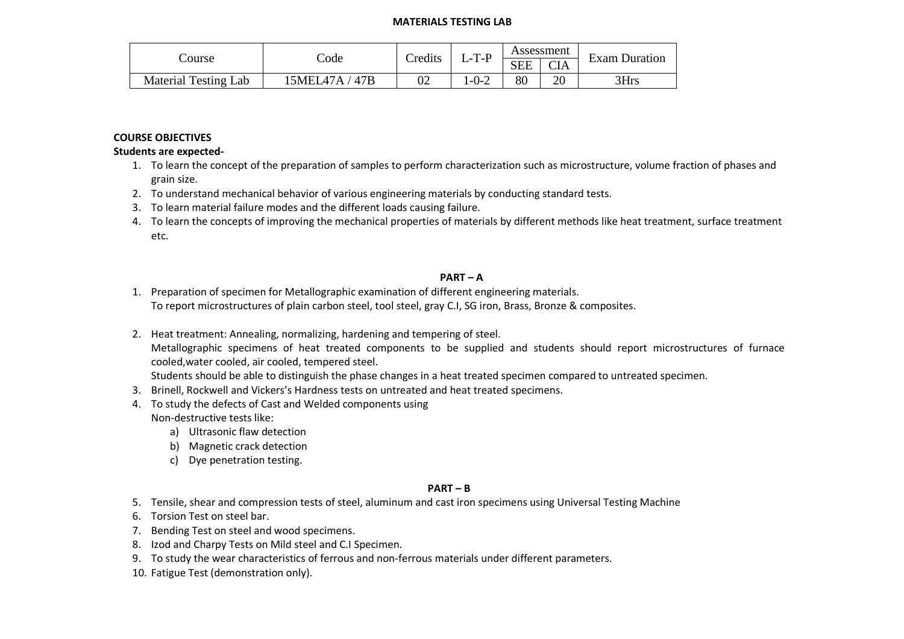#### **MATERIALS TESTING LAB**

|                             |                     | Credits | $T_P$ |            | Assessment | $\blacksquare$       |  |
|-----------------------------|---------------------|---------|-------|------------|------------|----------------------|--|
| Course                      | $\mathrm{Code}$     |         | ا -ب  | <b>SEE</b> | <b>CIA</b> | <b>Exam Duration</b> |  |
| <b>Material Testing Lab</b> | 15MEL47A /<br>′ 47B | 02      | l-0-2 | 80         | 20         | 3Hrs                 |  |

### **COURSE OBJECTIVES**

#### **Students are expected-**

- 1. To learn the concept of the preparation of samples to perform characterization such as microstructure, volume fraction of phases and grain size.
- 2. To understand mechanical behavior of various engineering materials by conducting standard tests.
- 3. To learn material failure modes and the different loads causing failure.
- 4. To learn the concepts of improving the mechanical properties of materials by different methods like heat treatment, surface treatment etc.

### **PART – A**

- 1. Preparation of specimen for Metallographic examination of different engineering materials. To report microstructures of plain carbon steel, tool steel, gray C.I, SG iron, Brass, Bronze & composites.
- 2. Heat treatment: Annealing, normalizing, hardening and tempering of steel. Metallographic specimens of heat treated components to be supplied and students should report microstructures of furnace cooled,water cooled, air cooled, tempered steel.

Students should be able to distinguish the phase changes in a heat treated specimen compared to untreated specimen.

- 3. Brinell, Rockwell and Vickers's Hardness tests on untreated and heat treated specimens.
- 4. To study the defects of Cast and Welded components using Non-destructive tests like:
	- a) Ultrasonic flaw detection
	- b) Magnetic crack detection
	- c) Dye penetration testing.

### **PART – B**

5. Tensile, shear and compression tests of steel, aluminum and cast iron specimens using Universal Testing Machine

- 6. Torsion Test on steel bar.
- 7. Bending Test on steel and wood specimens.
- 8. Izod and Charpy Tests on Mild steel and C.I Specimen.
- 9. To study the wear characteristics of ferrous and non-ferrous materials under different parameters.
- 10. Fatigue Test (demonstration only).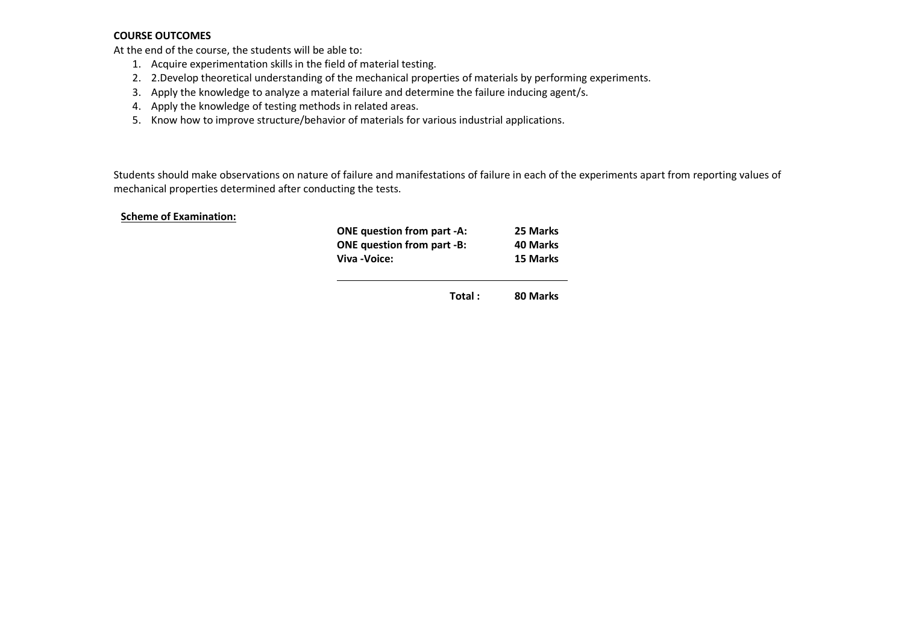### **COURSE OUTCOMES**

At the end of the course, the students will be able to:

- 1. Acquire experimentation skills in the field of material testing.
- 2. 2.Develop theoretical understanding of the mechanical properties of materials by performing experiments.
- 3. Apply the knowledge to analyze a material failure and determine the failure inducing agent/s.
- 4. Apply the knowledge of testing methods in related areas.
- 5. Know how to improve structure/behavior of materials for various industrial applications.

Students should make observations on nature of failure and manifestations of failure in each of the experiments apart from reporting values of mechanical properties determined after conducting the tests.

#### **Scheme of Examination:**

| <b>ONE question from part -A:</b> | 25 Marks |
|-----------------------------------|----------|
| <b>ONE question from part -B:</b> | 40 Marks |
| Viva - Voice:                     | 15 Marks |

**Total : 80 Marks**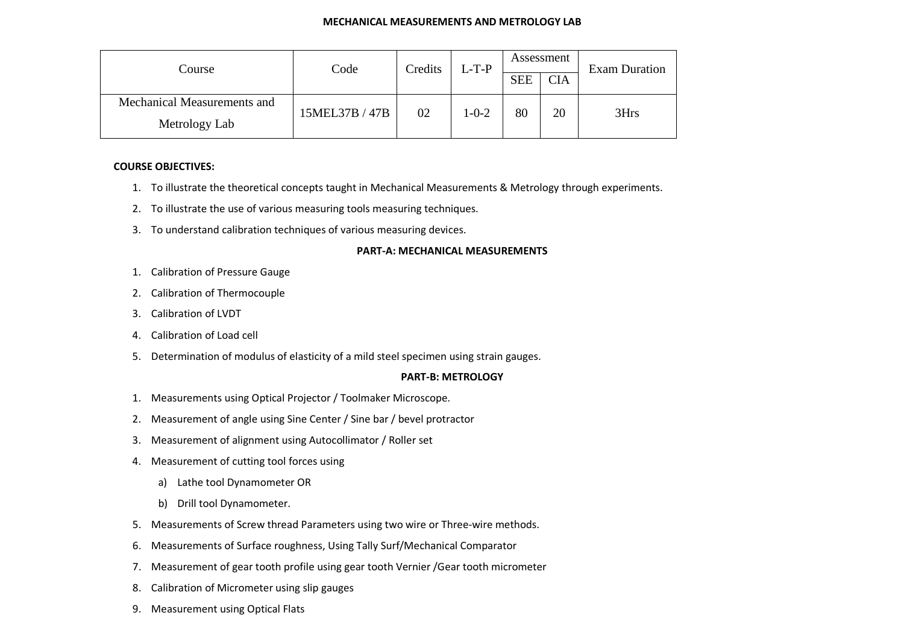| Course                      | Code           | Credits | $L-T-P$ | Assessment |            | <b>Exam Duration</b> |
|-----------------------------|----------------|---------|---------|------------|------------|----------------------|
|                             |                |         |         | <b>SEE</b> | <b>CIA</b> |                      |
| Mechanical Measurements and | 15MEL37B / 47B | 02      | 1-0-2   | 80         | 20         | 3Hrs                 |
| Metrology Lab               |                |         |         |            |            |                      |

### **COURSE OBJECTIVES:**

- 1. To illustrate the theoretical concepts taught in Mechanical Measurements & Metrology through experiments.
- 2. To illustrate the use of various measuring tools measuring techniques.
- 3. To understand calibration techniques of various measuring devices.

### **PART-A: MECHANICAL MEASUREMENTS**

- 1. Calibration of Pressure Gauge
- 2. Calibration of Thermocouple
- 3. Calibration of LVDT
- 4. Calibration of Load cell
- 5. Determination of modulus of elasticity of a mild steel specimen using strain gauges.

#### **PART-B: METROLOGY**

- 1. Measurements using Optical Projector / Toolmaker Microscope.
- 2. Measurement of angle using Sine Center / Sine bar / bevel protractor
- 3. Measurement of alignment using Autocollimator / Roller set
- 4. Measurement of cutting tool forces using
	- a) Lathe tool Dynamometer OR
	- b) Drill tool Dynamometer.
- 5. Measurements of Screw thread Parameters using two wire or Three-wire methods.
- 6.Measurements of Surface roughness, Using Tally Surf/Mechanical Comparator
- 7. Measurement of gear tooth profile using gear tooth Vernier /Gear tooth micrometer
- 8. Calibration of Micrometer using slip gauges
- 9. Measurement using Optical Flats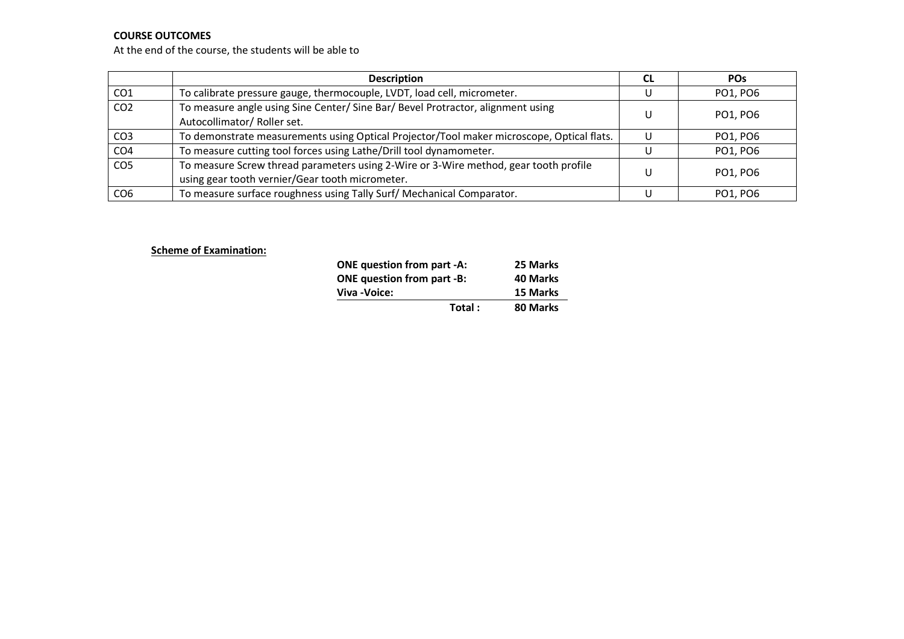## **COURSE OUTCOMES**

At the end of the course, the students will be able to

|                 | <b>Description</b>                                                                                                                      | <b>CL</b> | <b>POS</b> |
|-----------------|-----------------------------------------------------------------------------------------------------------------------------------------|-----------|------------|
| CO <sub>1</sub> | To calibrate pressure gauge, thermocouple, LVDT, load cell, micrometer.                                                                 |           | PO1, PO6   |
| CO <sub>2</sub> | To measure angle using Sine Center/Sine Bar/Bevel Protractor, alignment using<br>Autocollimator/ Roller set.                            | U         | PO1, PO6   |
| CO <sub>3</sub> | To demonstrate measurements using Optical Projector/Tool maker microscope, Optical flats.                                               |           | PO1, PO6   |
| CO <sub>4</sub> | To measure cutting tool forces using Lathe/Drill tool dynamometer.                                                                      |           | PO1, PO6   |
| CO <sub>5</sub> | To measure Screw thread parameters using 2-Wire or 3-Wire method, gear tooth profile<br>using gear tooth vernier/Gear tooth micrometer. |           | PO1, PO6   |
| CO <sub>6</sub> | To measure surface roughness using Tally Surf/ Mechanical Comparator.                                                                   |           | PO1, PO6   |

### **Scheme of Examination:**

| <b>ONE question from part -A:</b> |        | 25 Marks |
|-----------------------------------|--------|----------|
| <b>ONE</b> question from part -B: |        | 40 Marks |
| Viva - Voice:                     |        | 15 Marks |
|                                   | Total: | 80 Marks |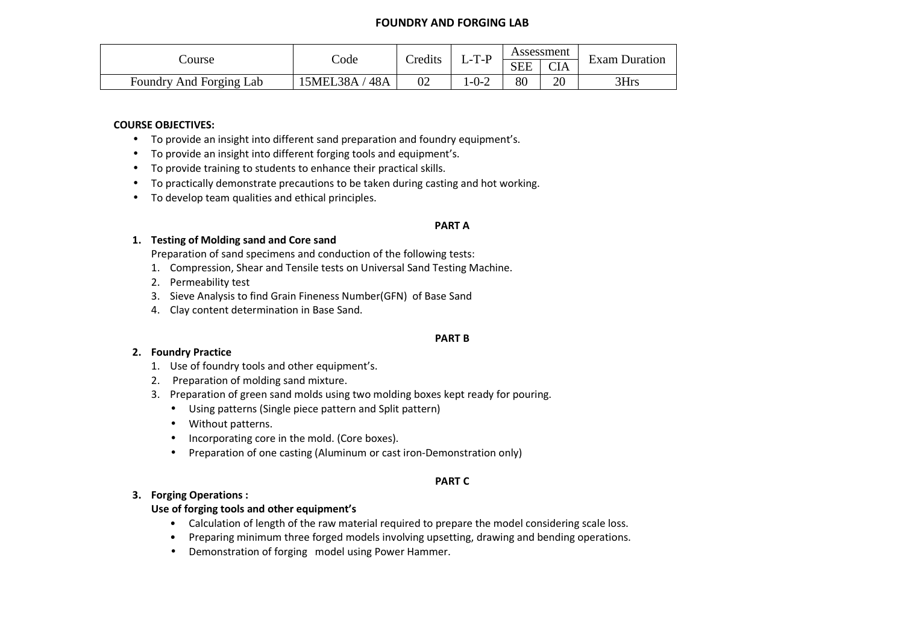## **FOUNDRY AND FORGING LAB**

|                         | Credits<br>-T-P<br>Code<br>ourse'<br>المستحيل | Assessment |        | <b>Exam Duration</b> |            |      |
|-------------------------|-----------------------------------------------|------------|--------|----------------------|------------|------|
|                         |                                               |            |        | <b>SEE</b>           | <b>CIA</b> |      |
| Foundry And Forging Lab | 48A<br>!5MEL38A                               | 02         | $-0-2$ | 80                   | 20         | 3Hrs |

#### **COURSE OBJECTIVES:**

- To provide an insight into different sand preparation and foundry equipment's.
- To provide an insight into different forging tools and equipment's.
- To provide training to students to enhance their practical skills.
- To practically demonstrate precautions to be taken during casting and hot working.
- To develop team qualities and ethical principles.

#### **PART A**

### **1. Testing of Molding sand and Core sand**

Preparation of sand specimens and conduction of the following tests:

- 1. Compression, Shear and Tensile tests on Universal Sand Testing Machine.
- 2. Permeability test
- 3. Sieve Analysis to find Grain Fineness Number(GFN) of Base Sand
- 4. Clay content determination in Base Sand.

#### **PART B**

### **2. Foundry Practice**

- 1. Use of foundry tools and other equipment's.
- 2. Preparation of molding sand mixture.
- 3. Preparation of green sand molds using two molding boxes kept ready for pouring.
	- Using patterns (Single piece pattern and Split pattern)
	- Without patterns.
	- Incorporating core in the mold. (Core boxes).
	- Preparation of one casting (Aluminum or cast iron-Demonstration only)

#### **PART C**

### **3. Forging Operations :**

### **Use of forging tools and other equipment's**

- Calculation of length of the raw material required to prepare the model considering scale loss.
- Preparing minimum three forged models involving upsetting, drawing and bending operations.
- Demonstration of forging model using Power Hammer.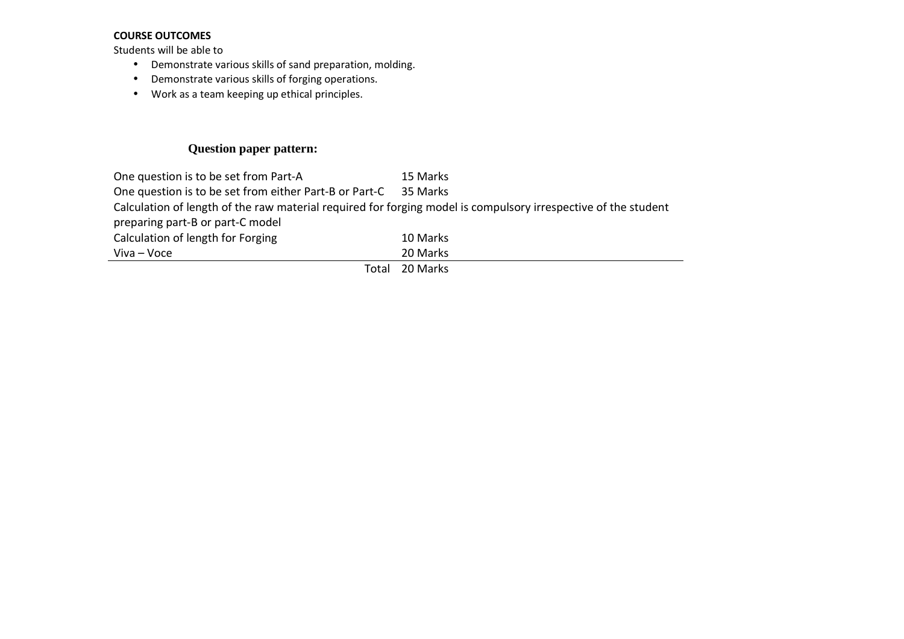### **COURSE OUTCOMES**

Students will be able to

- Demonstrate various skills of sand preparation, molding.
- Demonstrate various skills of forging operations.
- Work as a team keeping up ethical principles.

# **Question paper pattern:**

One question is to be set from Part-AA 15 Marks One question is to be set from either Part-B or Part-C 35 Marks Calculation of length of the raw material required for forging model is compulsory irrespective of the student preparing part-B or part-C model Calculation of length for Forging 10 Marks  $Viva - Voce$ 

Total 20 Marks